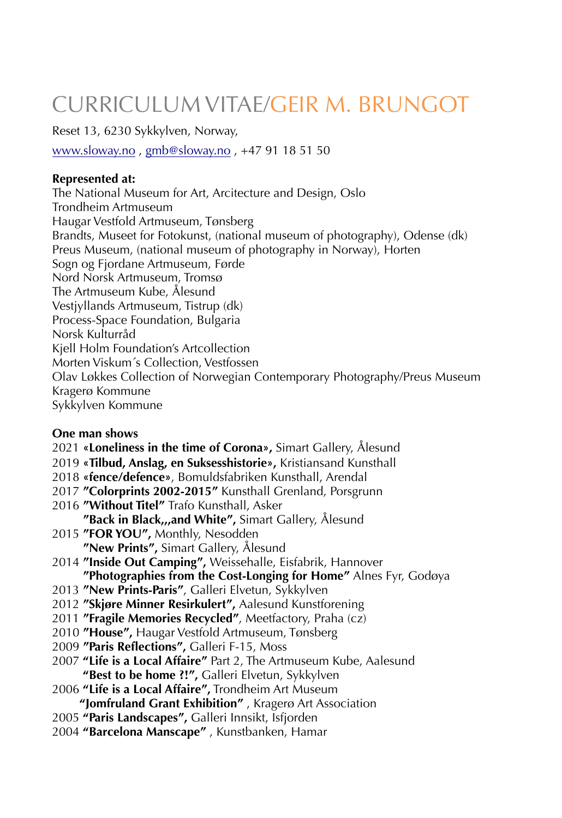# **CURRICULUM VITAE/GEIR M. BRUNGOT**

Reset 13, 6230 Sykkylven, Norway,

www.sloway.no, gmb@sloway.no, +47 91 18 51 50

## **Represented at:**

The National Museum for Art, Arcitecture and Design, Oslo Trondheim Artmuseum Haugar Vestfold Artmuseum, Tønsberg Brandts, Museet for Fotokunst, (national museum of photography), Odense (dk) Preus Museum, (national museum of photography in Norway), Horten Sogn og Fjordane Artmuseum, Førde Nord Norsk Artmuseum, Tromsø The Artmuseum Kube, Ålesund Vestjyllands Artmuseum, Tistrup (dk) Process-Space Foundation, Bulgaria Norsk Kulturråd Kiell Holm Foundation's Artcollection Morten Viskum's Collection, Vestfossen Olav Løkkes Collection of Norwegian Contemporary Photography/Preus Museum Kragerø Kommune Sykkylven Kommune

# One man shows

- 2021 «Loneliness in the time of Corona», Simart Gallery, Ålesund
- 2019 «Tilbud, Anslag, en Suksesshistorie», Kristiansand Kunsthall
- 2018 «fence/defence», Bomuldsfabriken Kunsthall, Arendal
- 2017 "Colorprints 2002-2015" Kunsthall Grenland, Porsgrunn
- 2016 "Without Titel" Trafo Kunsthall, Asker
	- "Back in Black,,,and White", Simart Gallery, Alesund
- 2015 "FOR YOU", Monthly, Nesodden "New Prints", Simart Gallery, Ålesund
- 2014 "Inside Out Camping", Weissehalle, Eisfabrik, Hannover "Photographies from the Cost-Longing for Home" Alnes Fyr, Godøya
- 2013 "New Prints-Paris", Galleri Elvetun, Sykkylven
- 2012 "Skjøre Minner Resirkulert", Aalesund Kunstforening
- 2011 "Fragile Memories Recycled", Meetfactory, Praha (cz)
- 2010 "House", Haugar Vestfold Artmuseum, Tønsberg
- 2009 "Paris Reflections", Galleri F-15, Moss
- 2007 "Life is a Local Affaire" Part 2, The Artmuseum Kube, Aalesund "Best to be home ?!", Galleri Elvetun, Sykkylven
- 2006 "Life is a Local Affaire", Trondheim Art Museum

"Jomfruland Grant Exhibition", Kragerø Art Association

- 2005 "Paris Landscapes", Galleri Innsikt, Isfjorden
- 2004 "Barcelona Manscape", Kunstbanken, Hamar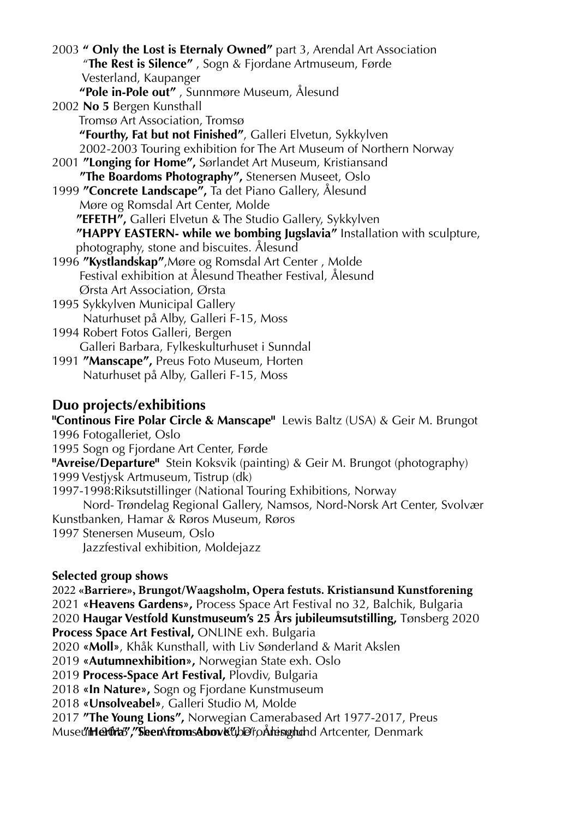2003 **" Only the Lost is Eternaly Owned"** part 3, Arendal Art Association "**The Rest is Silence"** , Sogn & Fjordane Artmuseum, Førde Vesterland, Kaupanger  **"Pole in-Pole out"** , Sunnmøre Museum, Ålesund 2002 **No 5** Bergen Kunsthall Tromsø Art Association, Tromsø  **"Fourthy, Fat but not Finished"**, Galleri Elvetun, Sykkylven 2002-2003 Touring exhibition for The Art Museum of Northern Norway 2001 **"Longing for Home",** Sørlandet Art Museum, Kristiansand  **"The Boardoms Photography",** Stenersen Museet, Oslo 1999 **"Concrete Landscape",** Ta det Piano Gallery, Ålesund Møre og Romsdal Art Center, Molde  **"EFETH",** Galleri Elvetun & The Studio Gallery, Sykkylven  **"HAPPY EASTERN- while we bombing Jugslavia"** Installation with sculpture, photography, stone and biscuites. Ålesund 1996 **"Kystlandskap"**,Møre og Romsdal Art Center , Molde Festival exhibition at Ålesund Theather Festival, Ålesund Ørsta Art Association, Ørsta 1995 Sykkylven Municipal Gallery Naturhuset på Alby, Galleri F-15, Moss 1994 Robert Fotos Galleri, Bergen Galleri Barbara, Fylkeskulturhuset i Sunndal

1991 **"Manscape",** Preus Foto Museum, Horten Naturhuset på Alby, Galleri F-15, Moss

# **Duo projects/exhibitions**

"Continous Fire Polar Circle & Manscape" Lewis Baltz (USA) & Geir M. Brungot 1996 Fotogalleriet, Oslo 1995 Sogn og Fjordane Art Center, Førde "Avreise/Departure" Stein Koksvik (painting) & Geir M. Brungot (photography) 1999 Vestjysk Artmuseum, Tistrup (dk) 1997-1998: Riksutstillinger (National Touring Exhibitions, Norway Nord-Trøndelag Regional Gallery, Namsos, Nord-Norsk Art Center, Svolvær Kunstbanken, Hamar & Røros Museum, Røros 1997 Stenersen Museum, Oslo Jazzfestival exhibition, Moldejazz

## Selected group shows

2022 «Barriere», Brungot/Waagsholm, Opera festuts. Kristiansund Kunstforening 2021 «Heavens Gardens», Process Space Art Festival no 32, Balchik, Bulgaria 2020 Haugar Vestfold Kunstmuseum's 25 Års jubileumsutstilling, Tønsberg 2020 Process Space Art Festival, ONLINE exh. Bulgaria

2020 «Moll», Khåk Kunsthall, with Liv Sønderland & Marit Akslen

2019 «Autumnexhibition», Norwegian State exh. Oslo

2019 Process-Space Art Festival, Plovdiv, Bulgaria

2018 «In Nature», Sogn og Fjordane Kunstmuseum

2018 «**Unsolveabel**», Galleri Studio M, Molde

2017 "The Young Lions", Norwegian Camerabased Art 1977-2017, Preus

Muse**"/iHerfra","SleenAftomsAbov&"**/be" på heisighend Artcenter, Denmark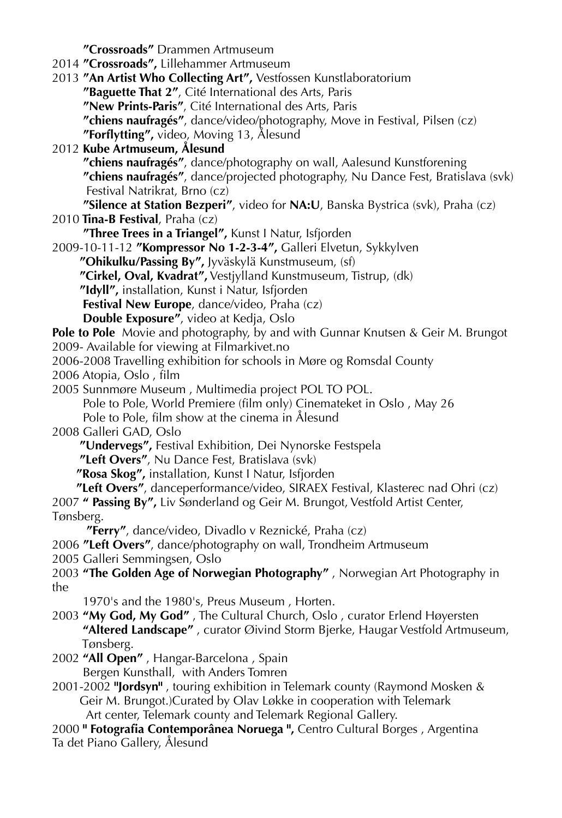**"Crossroads"** Drammen Artmuseum 2014 **"Crossroads",** Lillehammer Artmuseum 2013 **"An Artist Who Collecting Art",** Vestfossen Kunstlaboratorium  **"Baguette That 2"**, Cité International des Arts, Paris  **"New Prints-Paris"**, Cité International des Arts, Paris  **"chiens naufragés"**, dance/video/photography, Move in Festival, Pilsen (cz)  **"Forflytting",** video, Moving 13, Ålesund 2012 **Kube Artmuseum, Ålesund "chiens naufragés"**, dance/photography on wall, Aalesund Kunstforening **"chiens naufragés"**, dance/projected photography, Nu Dance Fest, Bratislava (svk) Festival Natrikrat, Brno (cz) **"Silence at Station Bezperi"**, video for **NA:U**, Banska Bystrica (svk), Praha (cz) 2010 **Tina-B Festival**, Praha (cz) **"Three Trees in a Triangel",** Kunst I Natur, Isfjorden 2009-10-11-12 **"Kompressor No 1-2-3-4",** Galleri Elvetun, Sykkylven  **"Ohikulku/Passing By",** Jyväskylä Kunstmuseum, (sf)  **"Cirkel, Oval, Kvadrat",** Vestjylland Kunstmuseum, Tistrup, (dk)  **"Idyll",** installation, Kunst i Natur, Isfjorden **Festival New Europe**, dance/video, Praha (cz) **Double Exposure"**, video at Kedja, Oslo Pole to Pole Movie and photography, by and with Gunnar Knutsen & Geir M. Brungot 2009- Available for viewing at Filmarkivet.no 2006-2008 Travelling exhibition for schools in Møre og Romsdal County 2006 Atopia, Oslo , film 2005 Sunnmøre Museum , Multimedia project POL TO POL. Pole to Pole, World Premiere (film only) Cinemateket in Oslo , May 26 Pole to Pole, film show at the cinema in Ålesund 2008 Galleri GAD, Oslo  **"Undervegs",** Festival Exhibition, Dei Nynorske Festspela **"Left Overs"**, Nu Dance Fest, Bratislava (svk)  **"Rosa Skog",** installation, Kunst I Natur, Isfjorden **"Left Overs"**, danceperformance/video, SIRAEX Festival, Klasterec nad Ohri (cz) 2007 **" Passing By",** Liv Sønderland og Geir M. Brungot, Vestfold Artist Center, Tønsberg. **"Ferry"**, dance/video, Divadlo v Reznické, Praha (cz) 2006 **"Left Overs"**, dance/photography on wall, Trondheim Artmuseum 2005 Galleri Semmingsen, Oslo 2003 **"The Golden Age of Norwegian Photography"** , Norwegian Art Photography in the 1970's and the 1980's, Preus Museum , Horten. 2003 **"My God, My God"** , The Cultural Church, Oslo , curator Erlend Høyersten  **"Altered Landscape"** , curator Øivind Storm Bjerke, Haugar Vestfold Artmuseum, Tønsberg. 2002 **"All Open"** , Hangar-Barcelona , Spain Bergen Kunsthall, with Anders Tomren 2001-2002 **"Jordsyn"** , touring exhibition in Telemark county (Raymond Mosken & Geir M. Brungot.)Curated by Olav Løkke in cooperation with Telemark Art center, Telemark county and Telemark Regional Gallery. 2000 **" Fotografia Contemporânea Noruega ",** Centro Cultural Borges , Argentina Ta det Piano Gallery, Ålesund